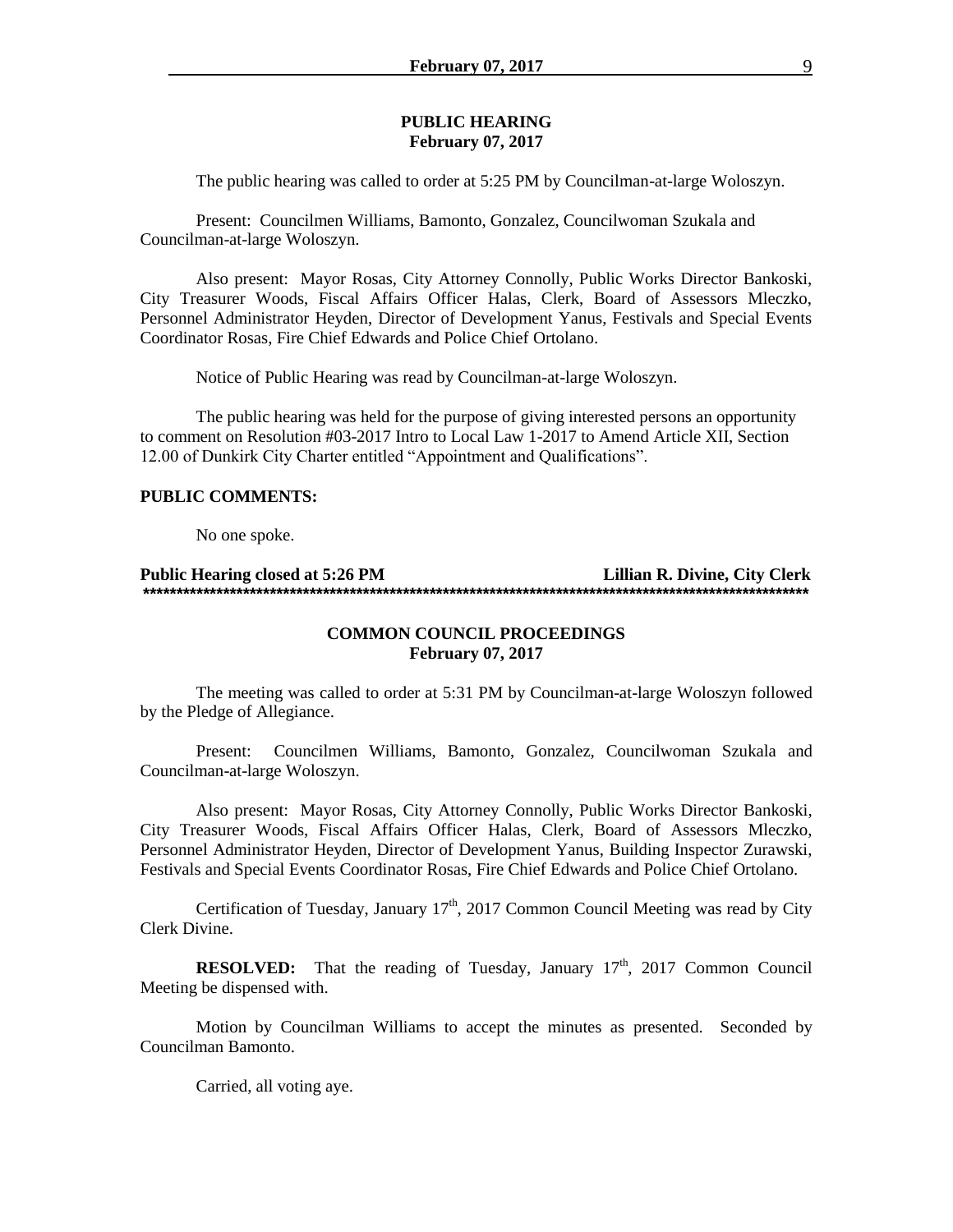#### **PUBLIC HEARING February 07, 2017**

The public hearing was called to order at 5:25 PM by Councilman-at-large Woloszyn.

Present: Councilmen Williams, Bamonto, Gonzalez, Councilwoman Szukala and Councilman-at-large Woloszyn.

Also present: Mayor Rosas, City Attorney Connolly, Public Works Director Bankoski, City Treasurer Woods, Fiscal Affairs Officer Halas, Clerk, Board of Assessors Mleczko, Personnel Administrator Heyden, Director of Development Yanus, Festivals and Special Events Coordinator Rosas, Fire Chief Edwards and Police Chief Ortolano.

Notice of Public Hearing was read by Councilman-at-large Woloszyn.

The public hearing was held for the purpose of giving interested persons an opportunity to comment on Resolution #03-2017 Intro to Local Law 1-2017 to Amend Article XII, Section 12.00 of Dunkirk City Charter entitled "Appointment and Qualifications".

#### **PUBLIC COMMENTS:**

No one spoke.

#### **Public Hearing closed at 5:26 PM Lillian R. Divine, City Clerk \*\*\*\*\*\*\*\*\*\*\*\*\*\*\*\*\*\*\*\*\*\*\*\*\*\*\*\*\*\*\*\*\*\*\*\*\*\*\*\*\*\*\*\*\*\*\*\*\*\*\*\*\*\*\*\*\*\*\*\*\*\*\*\*\*\*\*\*\*\*\*\*\*\*\*\*\*\*\*\*\*\*\*\*\*\*\*\*\*\*\*\*\*\*\*\*\*\*\*\***

# **COMMON COUNCIL PROCEEDINGS February 07, 2017**

The meeting was called to order at 5:31 PM by Councilman-at-large Woloszyn followed by the Pledge of Allegiance.

Present: Councilmen Williams, Bamonto, Gonzalez, Councilwoman Szukala and Councilman-at-large Woloszyn.

Also present: Mayor Rosas, City Attorney Connolly, Public Works Director Bankoski, City Treasurer Woods, Fiscal Affairs Officer Halas, Clerk, Board of Assessors Mleczko, Personnel Administrator Heyden, Director of Development Yanus, Building Inspector Zurawski, Festivals and Special Events Coordinator Rosas, Fire Chief Edwards and Police Chief Ortolano.

Certification of Tuesday, January  $17<sup>th</sup>$ , 2017 Common Council Meeting was read by City Clerk Divine.

**RESOLVED:** That the reading of Tuesday, January 17<sup>th</sup>, 2017 Common Council Meeting be dispensed with.

Motion by Councilman Williams to accept the minutes as presented. Seconded by Councilman Bamonto.

Carried, all voting aye.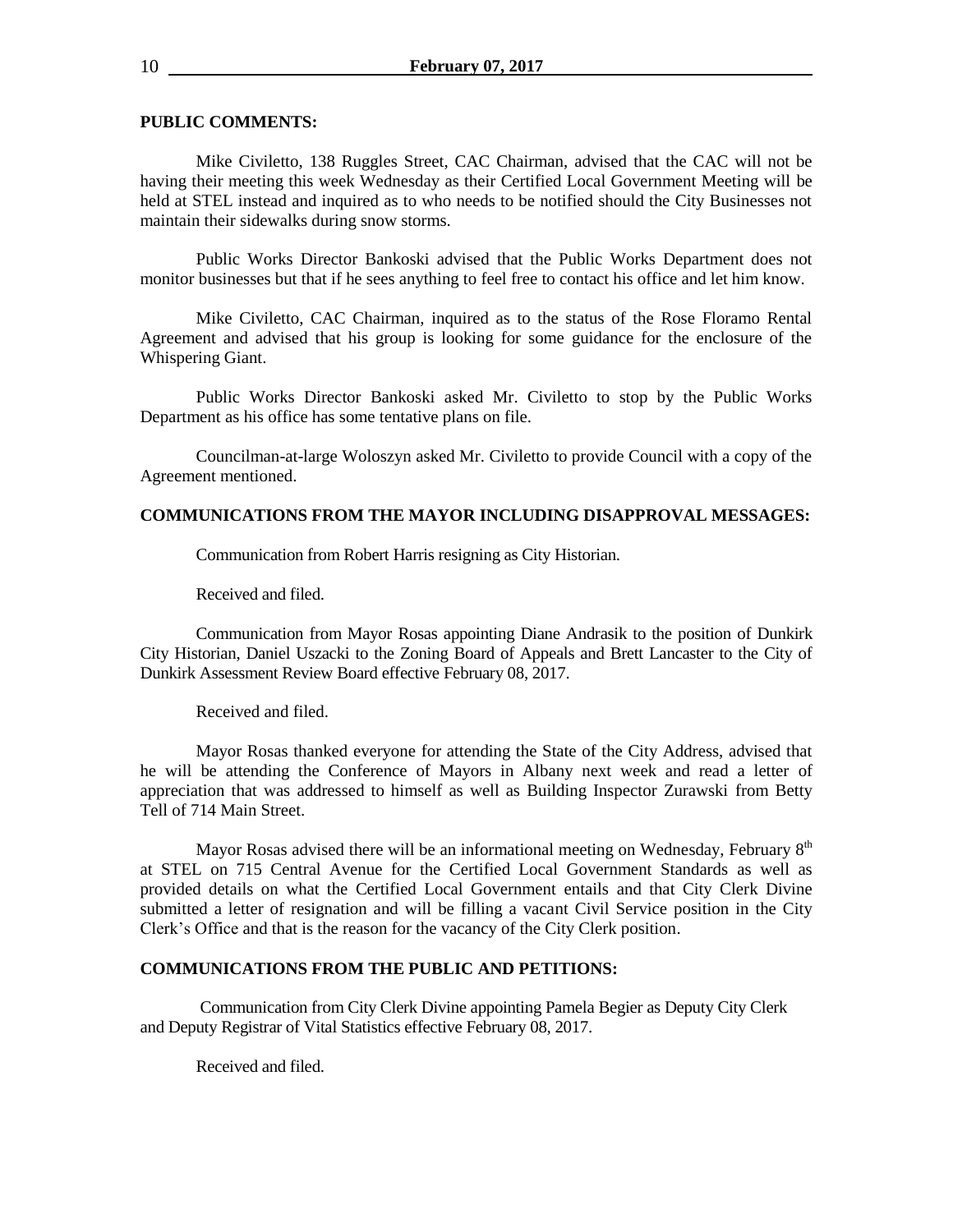#### **PUBLIC COMMENTS:**

Mike Civiletto, 138 Ruggles Street, CAC Chairman, advised that the CAC will not be having their meeting this week Wednesday as their Certified Local Government Meeting will be held at STEL instead and inquired as to who needs to be notified should the City Businesses not maintain their sidewalks during snow storms.

Public Works Director Bankoski advised that the Public Works Department does not monitor businesses but that if he sees anything to feel free to contact his office and let him know.

Mike Civiletto, CAC Chairman, inquired as to the status of the Rose Floramo Rental Agreement and advised that his group is looking for some guidance for the enclosure of the Whispering Giant.

Public Works Director Bankoski asked Mr. Civiletto to stop by the Public Works Department as his office has some tentative plans on file.

Councilman-at-large Woloszyn asked Mr. Civiletto to provide Council with a copy of the Agreement mentioned.

#### **COMMUNICATIONS FROM THE MAYOR INCLUDING DISAPPROVAL MESSAGES:**

Communication from Robert Harris resigning as City Historian.

Received and filed.

Communication from Mayor Rosas appointing Diane Andrasik to the position of Dunkirk City Historian, Daniel Uszacki to the Zoning Board of Appeals and Brett Lancaster to the City of Dunkirk Assessment Review Board effective February 08, 2017.

Received and filed.

Mayor Rosas thanked everyone for attending the State of the City Address, advised that he will be attending the Conference of Mayors in Albany next week and read a letter of appreciation that was addressed to himself as well as Building Inspector Zurawski from Betty Tell of 714 Main Street.

Mayor Rosas advised there will be an informational meeting on Wednesday, February  $8<sup>th</sup>$ at STEL on 715 Central Avenue for the Certified Local Government Standards as well as provided details on what the Certified Local Government entails and that City Clerk Divine submitted a letter of resignation and will be filling a vacant Civil Service position in the City Clerk's Office and that is the reason for the vacancy of the City Clerk position.

#### **COMMUNICATIONS FROM THE PUBLIC AND PETITIONS:**

Communication from City Clerk Divine appointing Pamela Begier as Deputy City Clerk and Deputy Registrar of Vital Statistics effective February 08, 2017.

Received and filed.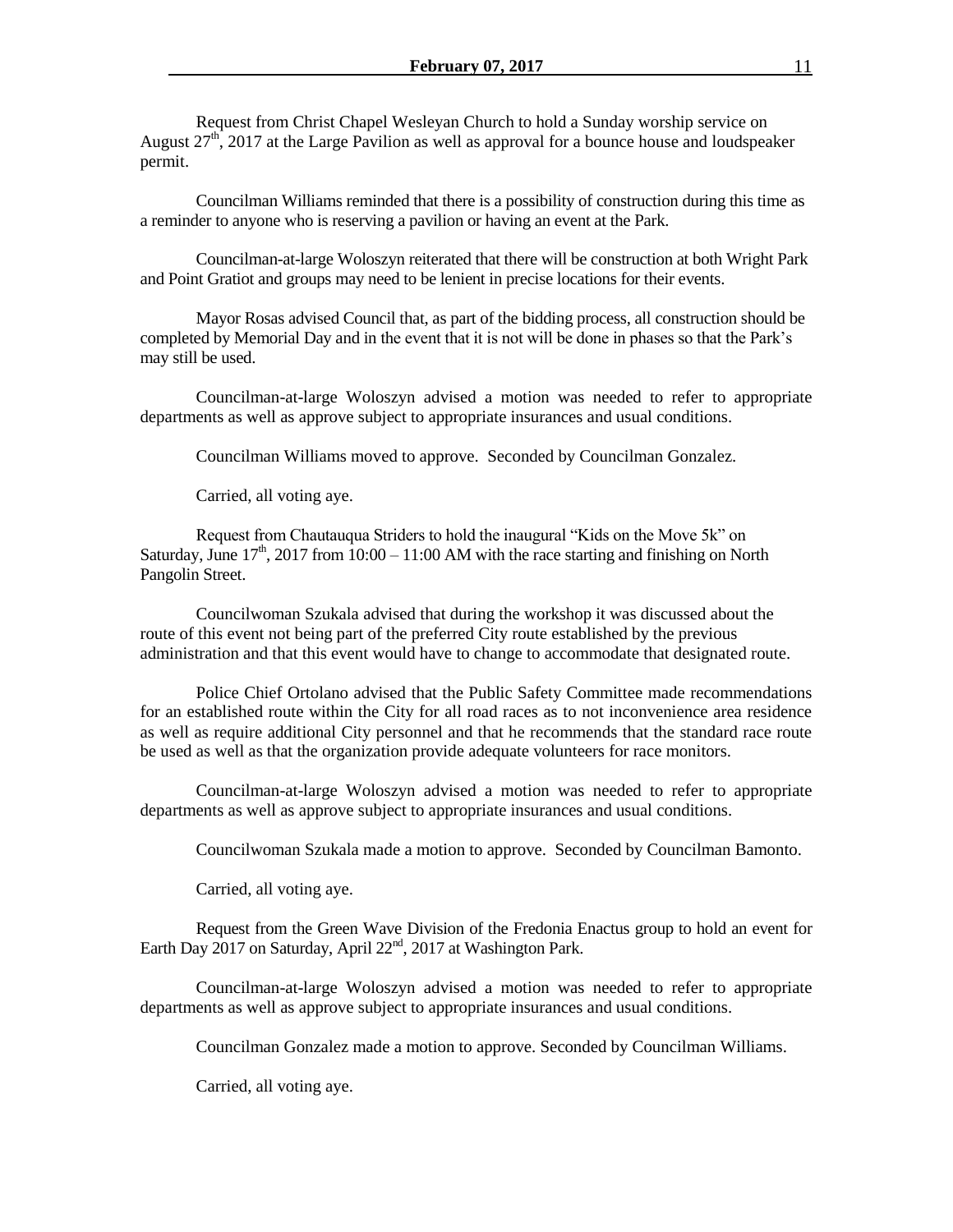Request from Christ Chapel Wesleyan Church to hold a Sunday worship service on August  $27<sup>th</sup>$ , 2017 at the Large Pavilion as well as approval for a bounce house and loudspeaker permit.

Councilman Williams reminded that there is a possibility of construction during this time as a reminder to anyone who is reserving a pavilion or having an event at the Park.

Councilman-at-large Woloszyn reiterated that there will be construction at both Wright Park and Point Gratiot and groups may need to be lenient in precise locations for their events.

Mayor Rosas advised Council that, as part of the bidding process, all construction should be completed by Memorial Day and in the event that it is not will be done in phases so that the Park's may still be used.

Councilman-at-large Woloszyn advised a motion was needed to refer to appropriate departments as well as approve subject to appropriate insurances and usual conditions.

Councilman Williams moved to approve. Seconded by Councilman Gonzalez.

Carried, all voting aye.

Request from Chautauqua Striders to hold the inaugural "Kids on the Move 5k" on Saturday, June  $17<sup>th</sup>$ , 2017 from 10:00 – 11:00 AM with the race starting and finishing on North Pangolin Street.

Councilwoman Szukala advised that during the workshop it was discussed about the route of this event not being part of the preferred City route established by the previous administration and that this event would have to change to accommodate that designated route.

Police Chief Ortolano advised that the Public Safety Committee made recommendations for an established route within the City for all road races as to not inconvenience area residence as well as require additional City personnel and that he recommends that the standard race route be used as well as that the organization provide adequate volunteers for race monitors.

Councilman-at-large Woloszyn advised a motion was needed to refer to appropriate departments as well as approve subject to appropriate insurances and usual conditions.

Councilwoman Szukala made a motion to approve. Seconded by Councilman Bamonto.

Carried, all voting aye.

Request from the Green Wave Division of the Fredonia Enactus group to hold an event for Earth Day 2017 on Saturday, April 22<sup>nd</sup>, 2017 at Washington Park.

Councilman-at-large Woloszyn advised a motion was needed to refer to appropriate departments as well as approve subject to appropriate insurances and usual conditions.

Councilman Gonzalez made a motion to approve. Seconded by Councilman Williams.

Carried, all voting aye.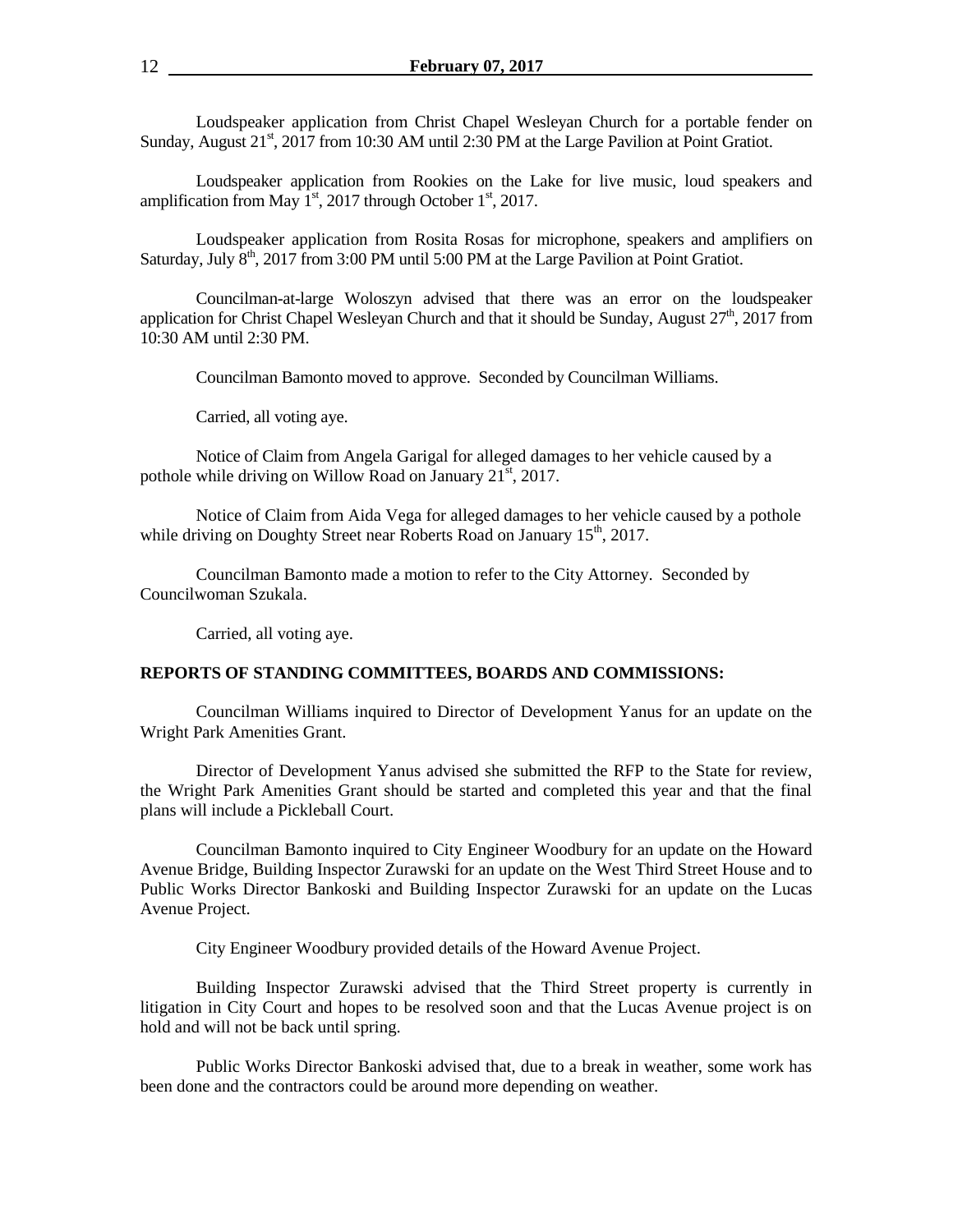Loudspeaker application from Christ Chapel Wesleyan Church for a portable fender on Sunday, August  $21<sup>st</sup>$ , 2017 from 10:30 AM until 2:30 PM at the Large Pavilion at Point Gratiot.

Loudspeaker application from Rookies on the Lake for live music, loud speakers and amplification from May  $1<sup>st</sup>$ , 2017 through October  $1<sup>st</sup>$ , 2017.

Loudspeaker application from Rosita Rosas for microphone, speakers and amplifiers on Saturday, July  $8<sup>th</sup>$ , 2017 from 3:00 PM until 5:00 PM at the Large Pavilion at Point Gratiot.

Councilman-at-large Woloszyn advised that there was an error on the loudspeaker application for Christ Chapel Wesleyan Church and that it should be Sunday, August  $27<sup>th</sup>$ ,  $2017$  from 10:30 AM until 2:30 PM.

Councilman Bamonto moved to approve. Seconded by Councilman Williams.

Carried, all voting aye.

Notice of Claim from Angela Garigal for alleged damages to her vehicle caused by a pothole while driving on Willow Road on January  $21^{st}$ , 2017.

Notice of Claim from Aida Vega for alleged damages to her vehicle caused by a pothole while driving on Doughty Street near Roberts Road on January  $15<sup>th</sup>$ , 2017.

Councilman Bamonto made a motion to refer to the City Attorney. Seconded by Councilwoman Szukala.

Carried, all voting aye.

#### **REPORTS OF STANDING COMMITTEES, BOARDS AND COMMISSIONS:**

Councilman Williams inquired to Director of Development Yanus for an update on the Wright Park Amenities Grant.

Director of Development Yanus advised she submitted the RFP to the State for review, the Wright Park Amenities Grant should be started and completed this year and that the final plans will include a Pickleball Court.

Councilman Bamonto inquired to City Engineer Woodbury for an update on the Howard Avenue Bridge, Building Inspector Zurawski for an update on the West Third Street House and to Public Works Director Bankoski and Building Inspector Zurawski for an update on the Lucas Avenue Project.

City Engineer Woodbury provided details of the Howard Avenue Project.

Building Inspector Zurawski advised that the Third Street property is currently in litigation in City Court and hopes to be resolved soon and that the Lucas Avenue project is on hold and will not be back until spring.

Public Works Director Bankoski advised that, due to a break in weather, some work has been done and the contractors could be around more depending on weather.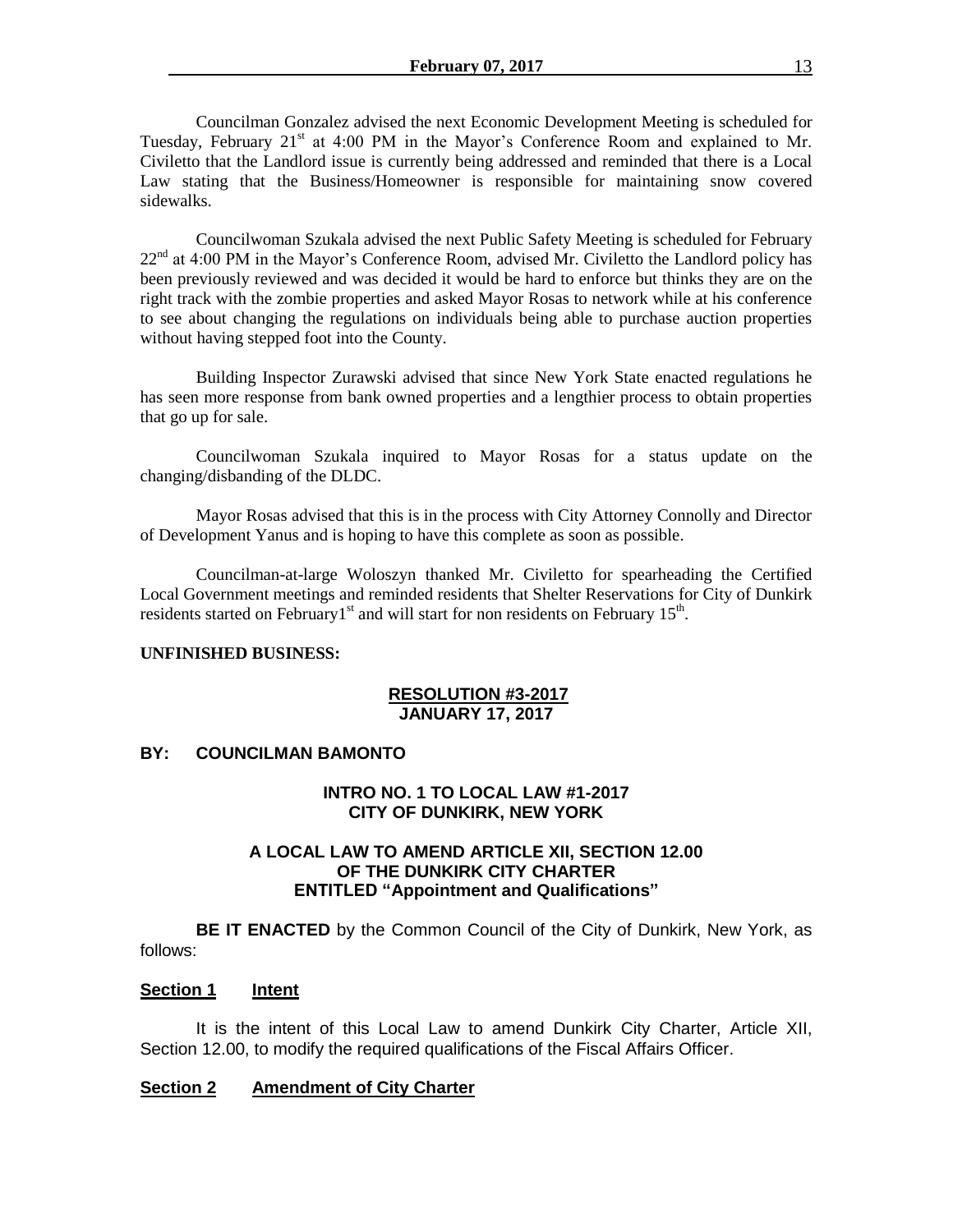Councilman Gonzalez advised the next Economic Development Meeting is scheduled for Tuesday, February 21<sup>st</sup> at 4:00 PM in the Mayor's Conference Room and explained to Mr. Civiletto that the Landlord issue is currently being addressed and reminded that there is a Local Law stating that the Business/Homeowner is responsible for maintaining snow covered sidewalks.

Councilwoman Szukala advised the next Public Safety Meeting is scheduled for February  $22<sup>nd</sup>$  at 4:00 PM in the Mayor's Conference Room, advised Mr. Civiletto the Landlord policy has been previously reviewed and was decided it would be hard to enforce but thinks they are on the right track with the zombie properties and asked Mayor Rosas to network while at his conference to see about changing the regulations on individuals being able to purchase auction properties without having stepped foot into the County.

Building Inspector Zurawski advised that since New York State enacted regulations he has seen more response from bank owned properties and a lengthier process to obtain properties that go up for sale.

Councilwoman Szukala inquired to Mayor Rosas for a status update on the changing/disbanding of the DLDC.

Mayor Rosas advised that this is in the process with City Attorney Connolly and Director of Development Yanus and is hoping to have this complete as soon as possible.

Councilman-at-large Woloszyn thanked Mr. Civiletto for spearheading the Certified Local Government meetings and reminded residents that Shelter Reservations for City of Dunkirk residents started on February1<sup>st</sup> and will start for non residents on February 15<sup>th</sup>.

# **UNFINISHED BUSINESS:**

#### **RESOLUTION #3-2017 JANUARY 17, 2017**

# **BY: COUNCILMAN BAMONTO**

# **INTRO NO. 1 TO LOCAL LAW #1-2017 CITY OF DUNKIRK, NEW YORK**

# **A LOCAL LAW TO AMEND ARTICLE XII, SECTION 12.00 OF THE DUNKIRK CITY CHARTER ENTITLED "Appointment and Qualifications"**

**BE IT ENACTED** by the Common Council of the City of Dunkirk, New York, as follows:

# **Section 1 Intent**

It is the intent of this Local Law to amend Dunkirk City Charter, Article XII, Section 12.00, to modify the required qualifications of the Fiscal Affairs Officer.

# **Section 2 Amendment of City Charter**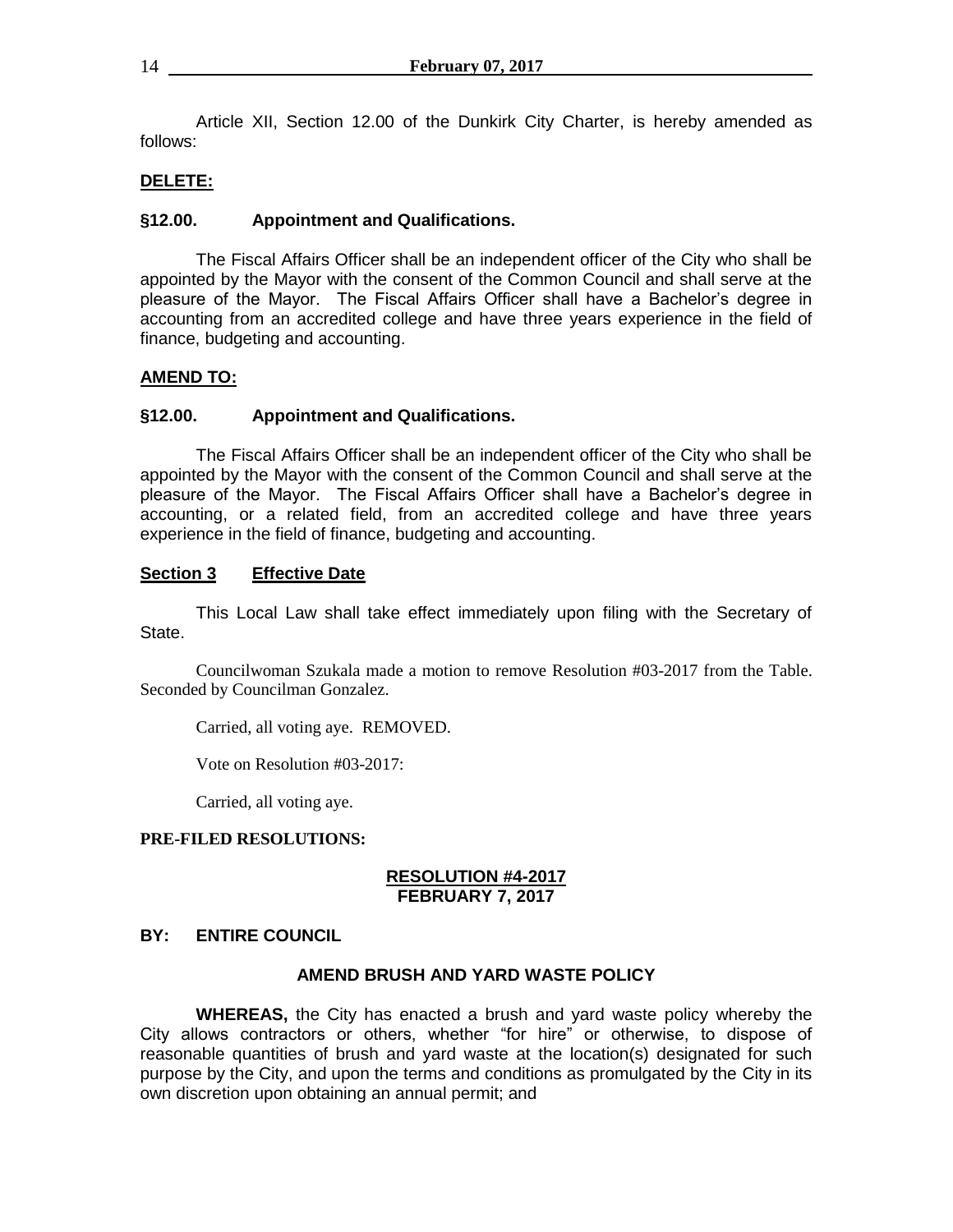Article XII, Section 12.00 of the Dunkirk City Charter, is hereby amended as follows:

# **DELETE:**

# **§12.00. Appointment and Qualifications.**

The Fiscal Affairs Officer shall be an independent officer of the City who shall be appointed by the Mayor with the consent of the Common Council and shall serve at the pleasure of the Mayor. The Fiscal Affairs Officer shall have a Bachelor's degree in accounting from an accredited college and have three years experience in the field of finance, budgeting and accounting.

# **AMEND TO:**

# **§12.00. Appointment and Qualifications.**

The Fiscal Affairs Officer shall be an independent officer of the City who shall be appointed by the Mayor with the consent of the Common Council and shall serve at the pleasure of the Mayor. The Fiscal Affairs Officer shall have a Bachelor's degree in accounting, or a related field, from an accredited college and have three years experience in the field of finance, budgeting and accounting.

# **Section 3 Effective Date**

This Local Law shall take effect immediately upon filing with the Secretary of State.

Councilwoman Szukala made a motion to remove Resolution #03-2017 from the Table. Seconded by Councilman Gonzalez.

Carried, all voting aye. REMOVED.

Vote on Resolution #03-2017:

Carried, all voting aye.

# **PRE-FILED RESOLUTIONS:**

#### **RESOLUTION #4-2017 FEBRUARY 7, 2017**

# **BY: ENTIRE COUNCIL**

# **AMEND BRUSH AND YARD WASTE POLICY**

**WHEREAS,** the City has enacted a brush and yard waste policy whereby the City allows contractors or others, whether "for hire" or otherwise, to dispose of reasonable quantities of brush and yard waste at the location(s) designated for such purpose by the City, and upon the terms and conditions as promulgated by the City in its own discretion upon obtaining an annual permit; and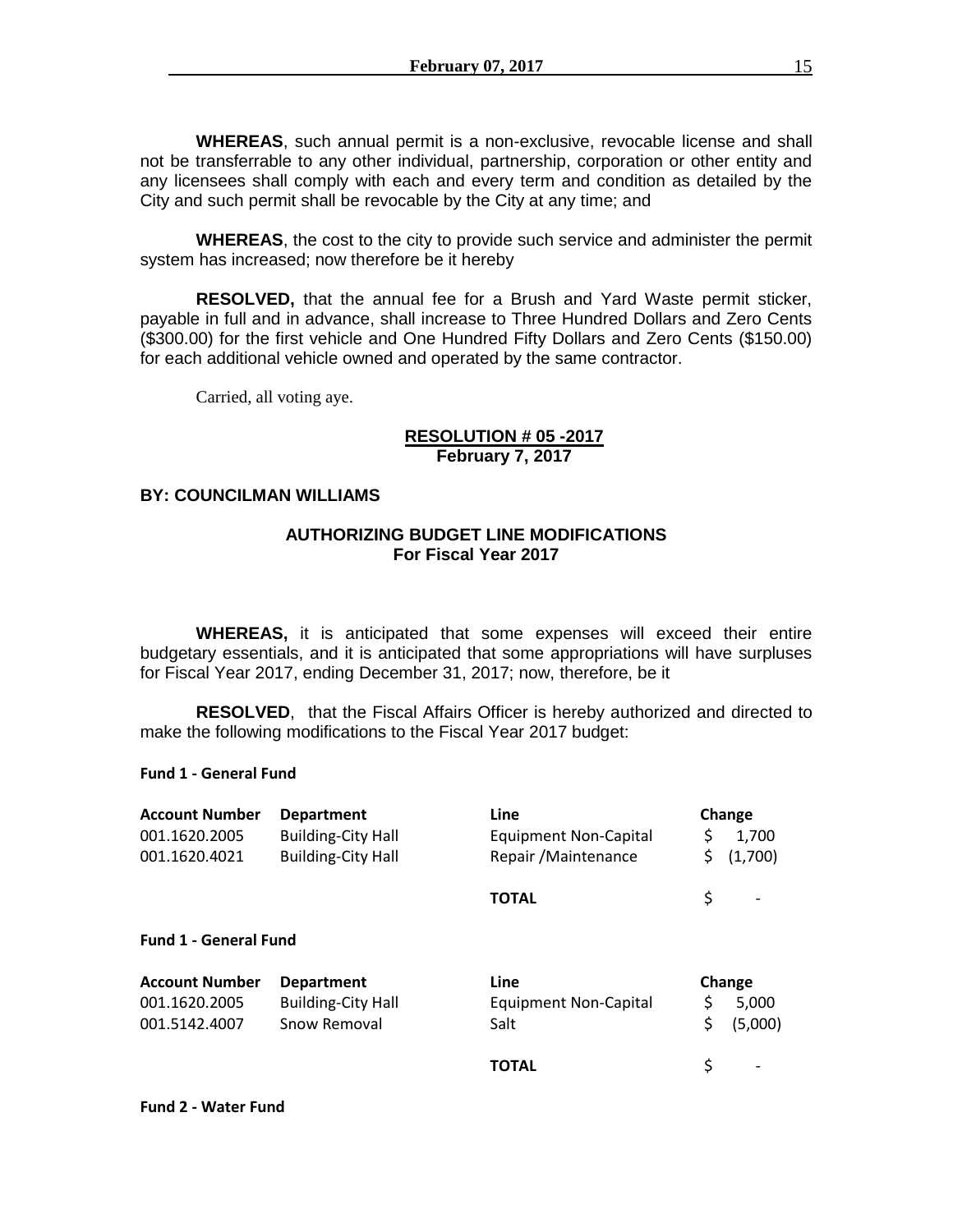**WHEREAS**, such annual permit is a non-exclusive, revocable license and shall not be transferrable to any other individual, partnership, corporation or other entity and any licensees shall comply with each and every term and condition as detailed by the City and such permit shall be revocable by the City at any time; and

**WHEREAS**, the cost to the city to provide such service and administer the permit system has increased; now therefore be it hereby

**RESOLVED,** that the annual fee for a Brush and Yard Waste permit sticker, payable in full and in advance, shall increase to Three Hundred Dollars and Zero Cents (\$300.00) for the first vehicle and One Hundred Fifty Dollars and Zero Cents (\$150.00) for each additional vehicle owned and operated by the same contractor.

Carried, all voting aye.

# **RESOLUTION # 05 -2017 February 7, 2017**

# **BY: COUNCILMAN WILLIAMS**

# **AUTHORIZING BUDGET LINE MODIFICATIONS For Fiscal Year 2017**

**WHEREAS,** it is anticipated that some expenses will exceed their entire budgetary essentials, and it is anticipated that some appropriations will have surpluses for Fiscal Year 2017, ending December 31, 2017; now, therefore, be it

**RESOLVED**, that the Fiscal Affairs Officer is hereby authorized and directed to make the following modifications to the Fiscal Year 2017 budget:

# **Fund 1 - General Fund**

| <b>Account Number</b>        | <b>Department</b>         | Line                         | Change        |
|------------------------------|---------------------------|------------------------------|---------------|
| 001.1620.2005                | <b>Building-City Hall</b> | <b>Equipment Non-Capital</b> | \$<br>1,700   |
| 001.1620.4021                | <b>Building-City Hall</b> | Repair / Maintenance         | \$<br>(1,700) |
|                              |                           | <b>TOTAL</b>                 | \$            |
| <b>Fund 1 - General Fund</b> |                           |                              |               |
| <b>Account Number</b>        | <b>Department</b>         | <b>Line</b>                  | Change        |
| 001.1620.2005                | <b>Building-City Hall</b> | Equipment Non-Capital        | \$<br>5,000   |
| 001.5142.4007                | Snow Removal              | Salt                         | \$<br>(5,000) |
|                              |                           | <b>TOTAL</b>                 | \$            |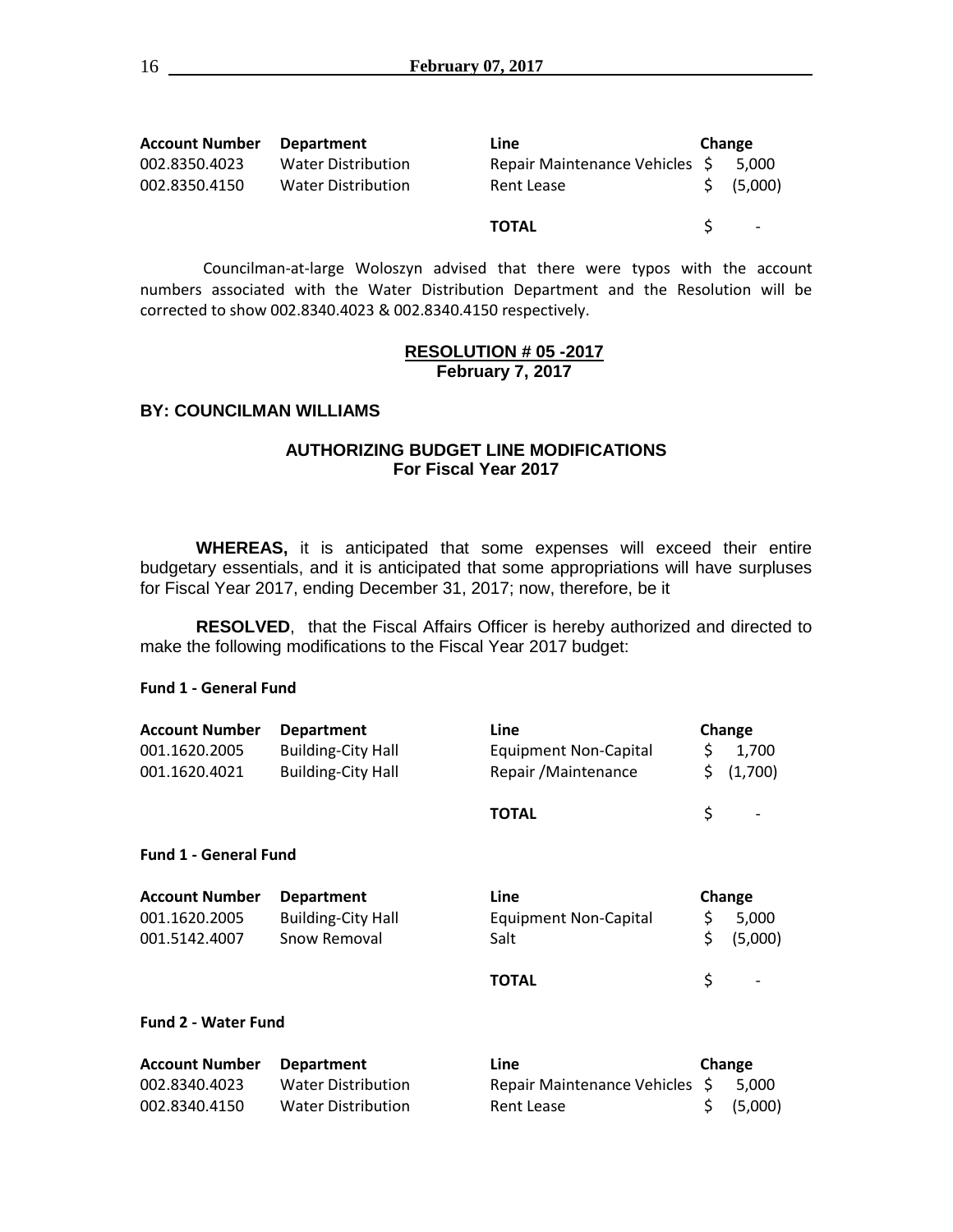| <b>Account Number</b> | <b>Department</b>         | Line                           | Change |                          |
|-----------------------|---------------------------|--------------------------------|--------|--------------------------|
| 002.8350.4023         | <b>Water Distribution</b> | Repair Maintenance Vehicles \$ |        | 5.000                    |
| 002.8350.4150         | <b>Water Distribution</b> | Rent Lease                     |        | \$ (5,000)               |
|                       |                           |                                |        |                          |
|                       |                           | <b>TOTAL</b>                   |        | $\overline{\phantom{a}}$ |

Councilman-at-large Woloszyn advised that there were typos with the account numbers associated with the Water Distribution Department and the Resolution will be corrected to show 002.8340.4023 & 002.8340.4150 respectively.

# **RESOLUTION # 05 -2017 February 7, 2017**

# **BY: COUNCILMAN WILLIAMS**

# **AUTHORIZING BUDGET LINE MODIFICATIONS For Fiscal Year 2017**

**WHEREAS,** it is anticipated that some expenses will exceed their entire budgetary essentials, and it is anticipated that some appropriations will have surpluses for Fiscal Year 2017, ending December 31, 2017; now, therefore, be it

**RESOLVED**, that the Fiscal Affairs Officer is hereby authorized and directed to make the following modifications to the Fiscal Year 2017 budget:

#### **Fund 1 - General Fund**

| <b>Account Number</b>        | <b>Department</b>         | Line                         |    | Change  |  |
|------------------------------|---------------------------|------------------------------|----|---------|--|
| 001.1620.2005                | <b>Building-City Hall</b> | <b>Equipment Non-Capital</b> | \$ | 1,700   |  |
| 001.1620.4021                | <b>Building-City Hall</b> | Repair / Maintenance         | \$ | (1,700) |  |
|                              |                           | <b>TOTAL</b>                 | \$ |         |  |
| <b>Fund 1 - General Fund</b> |                           |                              |    |         |  |
| <b>Account Number</b>        | <b>Department</b>         | Line                         |    | Change  |  |
| 001.1620.2005                | <b>Building-City Hall</b> | <b>Equipment Non-Capital</b> | \$ | 5,000   |  |
| 001.5142.4007                | Snow Removal              | Salt                         | \$ | (5,000) |  |
|                              |                           | <b>TOTAL</b>                 | \$ |         |  |
| <b>Fund 2 - Water Fund</b>   |                           |                              |    |         |  |
| <b>Account Number</b>        | <b>Department</b>         | Line                         |    | Change  |  |
| 002.8340.4023                | <b>Water Distribution</b> | Repair Maintenance Vehicles  | S. | 5,000   |  |
| 002.8340.4150                | <b>Water Distribution</b> | Rent Lease                   | \$ | (5,000) |  |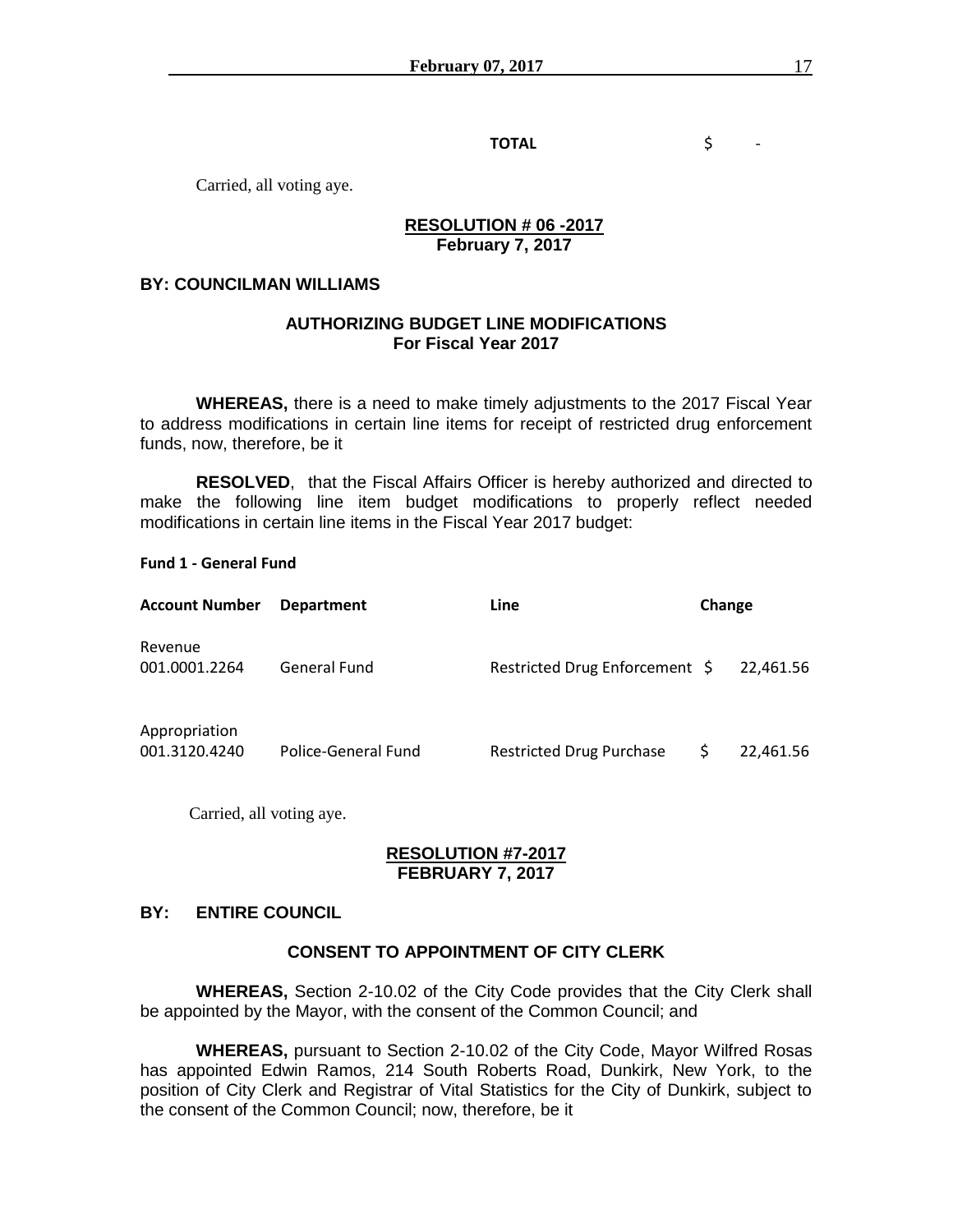**TOTAL** \$ -

Carried, all voting aye.

# **RESOLUTION # 06 -2017 February 7, 2017**

### **BY: COUNCILMAN WILLIAMS**

# **AUTHORIZING BUDGET LINE MODIFICATIONS For Fiscal Year 2017**

**WHEREAS,** there is a need to make timely adjustments to the 2017 Fiscal Year to address modifications in certain line items for receipt of restricted drug enforcement funds, now, therefore, be it

**RESOLVED**, that the Fiscal Affairs Officer is hereby authorized and directed to make the following line item budget modifications to properly reflect needed modifications in certain line items in the Fiscal Year 2017 budget:

# **Fund 1 - General Fund**

| <b>Account Number</b>          | <b>Department</b>   | Line                            | Change |           |
|--------------------------------|---------------------|---------------------------------|--------|-----------|
| Revenue<br>001.0001.2264       | General Fund        | Restricted Drug Enforcement \$  |        | 22.461.56 |
| Appropriation<br>001.3120.4240 | Police-General Fund | <b>Restricted Drug Purchase</b> | S      | 22.461.56 |

Carried, all voting aye.

### **RESOLUTION #7-2017 FEBRUARY 7, 2017**

# **BY: ENTIRE COUNCIL**

# **CONSENT TO APPOINTMENT OF CITY CLERK**

**WHEREAS,** Section 2-10.02 of the City Code provides that the City Clerk shall be appointed by the Mayor, with the consent of the Common Council; and

**WHEREAS,** pursuant to Section 2-10.02 of the City Code, Mayor Wilfred Rosas has appointed Edwin Ramos, 214 South Roberts Road, Dunkirk, New York, to the position of City Clerk and Registrar of Vital Statistics for the City of Dunkirk, subject to the consent of the Common Council; now, therefore, be it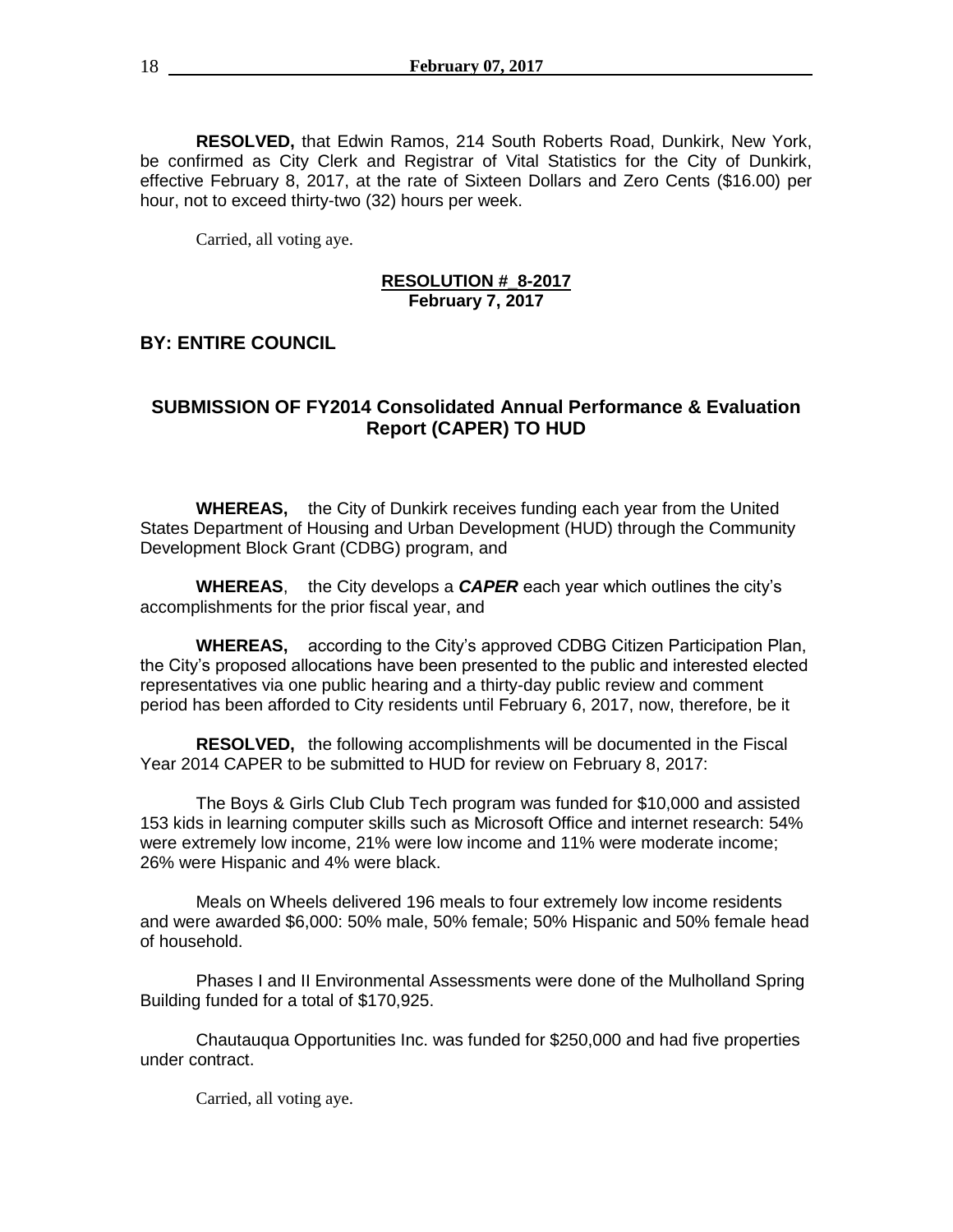**RESOLVED,** that Edwin Ramos, 214 South Roberts Road, Dunkirk, New York, be confirmed as City Clerk and Registrar of Vital Statistics for the City of Dunkirk, effective February 8, 2017, at the rate of Sixteen Dollars and Zero Cents (\$16.00) per hour, not to exceed thirty-two (32) hours per week.

Carried, all voting aye.

#### **RESOLUTION #\_8-2017 February 7, 2017**

# **BY: ENTIRE COUNCIL**

# **SUBMISSION OF FY2014 Consolidated Annual Performance & Evaluation Report (CAPER) TO HUD**

**WHEREAS,** the City of Dunkirk receives funding each year from the United States Department of Housing and Urban Development (HUD) through the Community Development Block Grant (CDBG) program, and

**WHEREAS**, the City develops a *CAPER* each year which outlines the city's accomplishments for the prior fiscal year, and

**WHEREAS,** according to the City's approved CDBG Citizen Participation Plan, the City's proposed allocations have been presented to the public and interested elected representatives via one public hearing and a thirty-day public review and comment period has been afforded to City residents until February 6, 2017, now, therefore, be it

**RESOLVED,** the following accomplishments will be documented in the Fiscal Year 2014 CAPER to be submitted to HUD for review on February 8, 2017:

The Boys & Girls Club Club Tech program was funded for \$10,000 and assisted 153 kids in learning computer skills such as Microsoft Office and internet research: 54% were extremely low income, 21% were low income and 11% were moderate income; 26% were Hispanic and 4% were black.

Meals on Wheels delivered 196 meals to four extremely low income residents and were awarded \$6,000: 50% male, 50% female; 50% Hispanic and 50% female head of household.

Phases I and II Environmental Assessments were done of the Mulholland Spring Building funded for a total of \$170,925.

Chautauqua Opportunities Inc. was funded for \$250,000 and had five properties under contract.

Carried, all voting aye.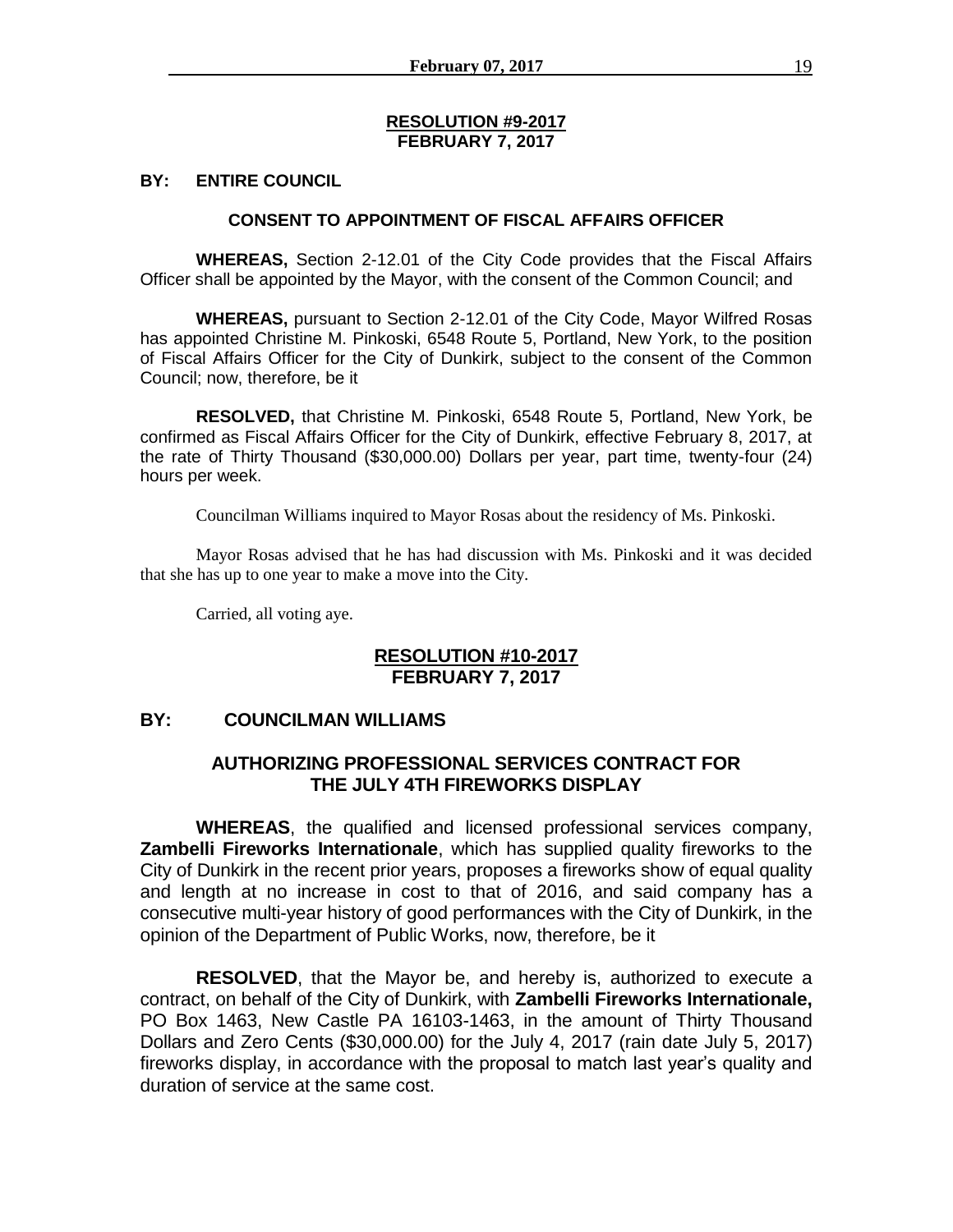#### **RESOLUTION #9-2017 FEBRUARY 7, 2017**

# **BY: ENTIRE COUNCIL**

#### **CONSENT TO APPOINTMENT OF FISCAL AFFAIRS OFFICER**

**WHEREAS,** Section 2-12.01 of the City Code provides that the Fiscal Affairs Officer shall be appointed by the Mayor, with the consent of the Common Council; and

**WHEREAS,** pursuant to Section 2-12.01 of the City Code, Mayor Wilfred Rosas has appointed Christine M. Pinkoski, 6548 Route 5, Portland, New York, to the position of Fiscal Affairs Officer for the City of Dunkirk, subject to the consent of the Common Council; now, therefore, be it

**RESOLVED,** that Christine M. Pinkoski, 6548 Route 5, Portland, New York, be confirmed as Fiscal Affairs Officer for the City of Dunkirk, effective February 8, 2017, at the rate of Thirty Thousand (\$30,000.00) Dollars per year, part time, twenty-four (24) hours per week.

Councilman Williams inquired to Mayor Rosas about the residency of Ms. Pinkoski.

Mayor Rosas advised that he has had discussion with Ms. Pinkoski and it was decided that she has up to one year to make a move into the City.

Carried, all voting aye.

# **RESOLUTION #10-2017 FEBRUARY 7, 2017**

# **BY: COUNCILMAN WILLIAMS**

# **AUTHORIZING PROFESSIONAL SERVICES CONTRACT FOR THE JULY 4TH FIREWORKS DISPLAY**

**WHEREAS**, the qualified and licensed professional services company, **Zambelli Fireworks Internationale**, which has supplied quality fireworks to the City of Dunkirk in the recent prior years, proposes a fireworks show of equal quality and length at no increase in cost to that of 2016, and said company has a consecutive multi-year history of good performances with the City of Dunkirk, in the opinion of the Department of Public Works, now, therefore, be it

**RESOLVED**, that the Mayor be, and hereby is, authorized to execute a contract, on behalf of the City of Dunkirk, with **Zambelli Fireworks Internationale,**  PO Box 1463, New Castle PA 16103-1463, in the amount of Thirty Thousand Dollars and Zero Cents (\$30,000.00) for the July 4, 2017 (rain date July 5, 2017) fireworks display, in accordance with the proposal to match last year's quality and duration of service at the same cost.